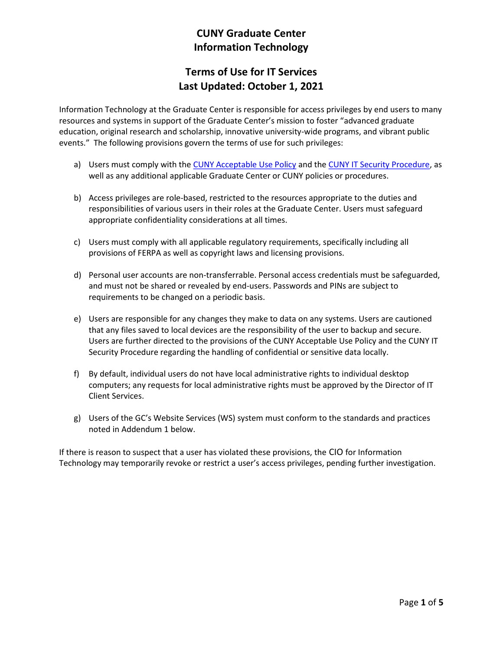# CUNY Graduate Center Information Technology

# Terms of Use for IT Services Last Updated: October 1, 2021

Information Technology at the Graduate Center is responsible for access privileges by end users to many resources and systems in support of the Graduate Center's mission to foster "advanced graduate education, original research and scholarship, innovative university-wide programs, and vibrant public events." The following provisions govern the terms of use for such privileges:

- a) Users must comply with the CUNY Acceptable Use Policy and the CUNY IT Security Procedure, as well as any additional applicable Graduate Center or CUNY policies or procedures.
- b) Access privileges are role-based, restricted to the resources appropriate to the duties and responsibilities of various users in their roles at the Graduate Center. Users must safeguard appropriate confidentiality considerations at all times.
- c) Users must comply with all applicable regulatory requirements, specifically including all provisions of FERPA as well as copyright laws and licensing provisions.
- d) Personal user accounts are non-transferrable. Personal access credentials must be safeguarded, and must not be shared or revealed by end-users. Passwords and PINs are subject to requirements to be changed on a periodic basis.
- e) Users are responsible for any changes they make to data on any systems. Users are cautioned that any files saved to local devices are the responsibility of the user to backup and secure. Users are further directed to the provisions of the CUNY Acceptable Use Policy and the CUNY IT Security Procedure regarding the handling of confidential or sensitive data locally.
- f) By default, individual users do not have local administrative rights to individual desktop computers; any requests for local administrative rights must be approved by the Director of IT Client Services.
- g) Users of the GC's Website Services (WS) system must conform to the standards and practices noted in Addendum 1 below.

If there is reason to suspect that a user has violated these provisions, the CIO for Information Technology may temporarily revoke or restrict a user's access privileges, pending further investigation.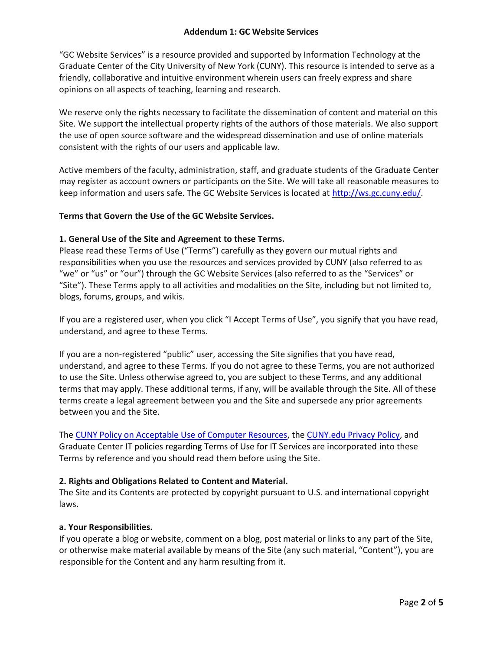"GC Website Services" is a resource provided and supported by Information Technology at the Graduate Center of the City University of New York (CUNY). This resource is intended to serve as a friendly, collaborative and intuitive environment wherein users can freely express and share opinions on all aspects of teaching, learning and research.

We reserve only the rights necessary to facilitate the dissemination of content and material on this Site. We support the intellectual property rights of the authors of those materials. We also support the use of open source software and the widespread dissemination and use of online materials consistent with the rights of our users and applicable law.

Active members of the faculty, administration, staff, and graduate students of the Graduate Center may register as account owners or participants on the Site. We will take all reasonable measures to keep information and users safe. The GC Website Services is located at http://ws.gc.cuny.edu/.

## Terms that Govern the Use of the GC Website Services.

## 1. General Use of the Site and Agreement to these Terms.

Please read these Terms of Use ("Terms") carefully as they govern our mutual rights and responsibilities when you use the resources and services provided by CUNY (also referred to as "we" or "us" or "our") through the GC Website Services (also referred to as the "Services" or "Site"). These Terms apply to all activities and modalities on the Site, including but not limited to, blogs, forums, groups, and wikis.

If you are a registered user, when you click "I Accept Terms of Use", you signify that you have read, understand, and agree to these Terms.

If you are a non-registered "public" user, accessing the Site signifies that you have read, understand, and agree to these Terms. If you do not agree to these Terms, you are not authorized to use the Site. Unless otherwise agreed to, you are subject to these Terms, and any additional terms that may apply. These additional terms, if any, will be available through the Site. All of these terms create a legal agreement between you and the Site and supersede any prior agreements between you and the Site.

The CUNY Policy on Acceptable Use of Computer Resources, the CUNY.edu Privacy Policy, and Graduate Center IT policies regarding Terms of Use for IT Services are incorporated into these Terms by reference and you should read them before using the Site.

#### 2. Rights and Obligations Related to Content and Material.

The Site and its Contents are protected by copyright pursuant to U.S. and international copyright laws.

#### a. Your Responsibilities.

If you operate a blog or website, comment on a blog, post material or links to any part of the Site, or otherwise make material available by means of the Site (any such material, "Content"), you are responsible for the Content and any harm resulting from it.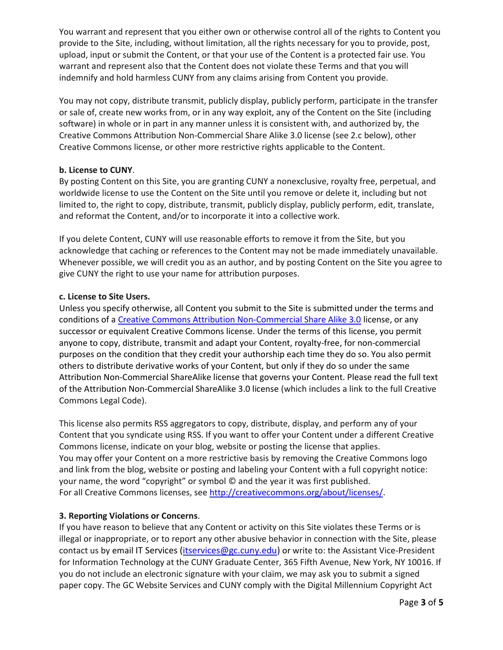You warrant and represent that you either own or otherwise control all of the rights to Content you provide to the Site, including, without limitation, all the rights necessary for you to provide, post, upload, input or submit the Content, or that your use of the Content is a protected fair use. You warrant and represent also that the Content does not violate these Terms and that you will indemnify and hold harmless CUNY from any claims arising from Content you provide.

You may not copy, distribute transmit, publicly display, publicly perform, participate in the transfer or sale of, create new works from, or in any way exploit, any of the Content on the Site (including software) in whole or in part in any manner unless it is consistent with, and authorized by, the Creative Commons Attribution Non-Commercial Share Alike 3.0 license (see 2.c below), other Creative Commons license, or other more restrictive rights applicable to the Content.

## b. License to CUNY.

By posting Content on this Site, you are granting CUNY a nonexclusive, royalty free, perpetual, and worldwide license to use the Content on the Site until you remove or delete it, including but not limited to, the right to copy, distribute, transmit, publicly display, publicly perform, edit, translate, and reformat the Content, and/or to incorporate it into a collective work.

If you delete Content, CUNY will use reasonable efforts to remove it from the Site, but you acknowledge that caching or references to the Content may not be made immediately unavailable. Whenever possible, we will credit you as an author, and by posting Content on the Site you agree to give CUNY the right to use your name for attribution purposes.

## c. License to Site Users.

Unless you specify otherwise, all Content you submit to the Site is submitted under the terms and conditions of a Creative Commons Attribution Non-Commercial Share Alike 3.0 license, or any successor or equivalent Creative Commons license. Under the terms of this license, you permit anyone to copy, distribute, transmit and adapt your Content, royalty-free, for non-commercial purposes on the condition that they credit your authorship each time they do so. You also permit others to distribute derivative works of your Content, but only if they do so under the same Attribution Non-Commercial ShareAlike license that governs your Content. Please read the full text of the Attribution Non-Commercial ShareAlike 3.0 license (which includes a link to the full Creative Commons Legal Code).

This license also permits RSS aggregators to copy, distribute, display, and perform any of your Content that you syndicate using RSS. If you want to offer your Content under a different Creative Commons license, indicate on your blog, website or posting the license that applies. You may offer your Content on a more restrictive basis by removing the Creative Commons logo and link from the blog, website or posting and labeling your Content with a full copyright notice: your name, the word "copyright" or symbol © and the year it was first published. For all Creative Commons licenses, see http://creativecommons.org/about/licenses/.

#### 3. Reporting Violations or Concerns.

If you have reason to believe that any Content or activity on this Site violates these Terms or is illegal or inappropriate, or to report any other abusive behavior in connection with the Site, please contact us by email IT Services (itservices@gc.cuny.edu) or write to: the Assistant Vice-President for Information Technology at the CUNY Graduate Center, 365 Fifth Avenue, New York, NY 10016. If you do not include an electronic signature with your claim, we may ask you to submit a signed paper copy. The GC Website Services and CUNY comply with the Digital Millennium Copyright Act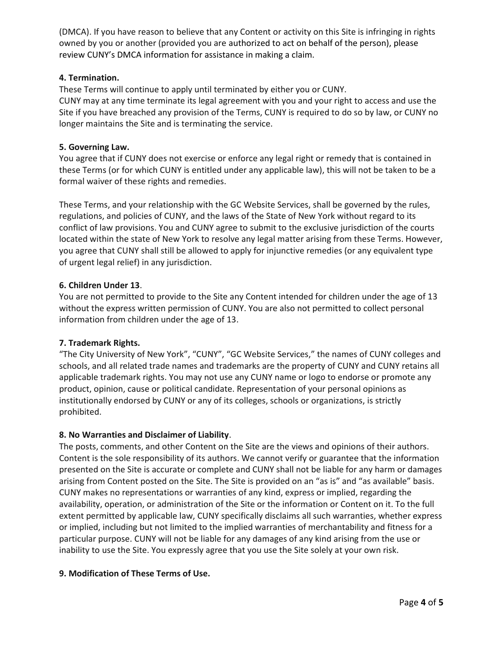(DMCA). If you have reason to believe that any Content or activity on this Site is infringing in rights owned by you or another (provided you are authorized to act on behalf of the person), please review CUNY's DMCA information for assistance in making a claim.

# 4. Termination.

These Terms will continue to apply until terminated by either you or CUNY.

CUNY may at any time terminate its legal agreement with you and your right to access and use the Site if you have breached any provision of the Terms, CUNY is required to do so by law, or CUNY no longer maintains the Site and is terminating the service.

# 5. Governing Law.

You agree that if CUNY does not exercise or enforce any legal right or remedy that is contained in these Terms (or for which CUNY is entitled under any applicable law), this will not be taken to be a formal waiver of these rights and remedies.

These Terms, and your relationship with the GC Website Services, shall be governed by the rules, regulations, and policies of CUNY, and the laws of the State of New York without regard to its conflict of law provisions. You and CUNY agree to submit to the exclusive jurisdiction of the courts located within the state of New York to resolve any legal matter arising from these Terms. However, you agree that CUNY shall still be allowed to apply for injunctive remedies (or any equivalent type of urgent legal relief) in any jurisdiction.

# 6. Children Under 13.

You are not permitted to provide to the Site any Content intended for children under the age of 13 without the express written permission of CUNY. You are also not permitted to collect personal information from children under the age of 13.

# 7. Trademark Rights.

"The City University of New York", "CUNY", "GC Website Services," the names of CUNY colleges and schools, and all related trade names and trademarks are the property of CUNY and CUNY retains all applicable trademark rights. You may not use any CUNY name or logo to endorse or promote any product, opinion, cause or political candidate. Representation of your personal opinions as institutionally endorsed by CUNY or any of its colleges, schools or organizations, is strictly prohibited.

# 8. No Warranties and Disclaimer of Liability.

The posts, comments, and other Content on the Site are the views and opinions of their authors. Content is the sole responsibility of its authors. We cannot verify or guarantee that the information presented on the Site is accurate or complete and CUNY shall not be liable for any harm or damages arising from Content posted on the Site. The Site is provided on an "as is" and "as available" basis. CUNY makes no representations or warranties of any kind, express or implied, regarding the availability, operation, or administration of the Site or the information or Content on it. To the full extent permitted by applicable law, CUNY specifically disclaims all such warranties, whether express or implied, including but not limited to the implied warranties of merchantability and fitness for a particular purpose. CUNY will not be liable for any damages of any kind arising from the use or inability to use the Site. You expressly agree that you use the Site solely at your own risk.

# 9. Modification of These Terms of Use.